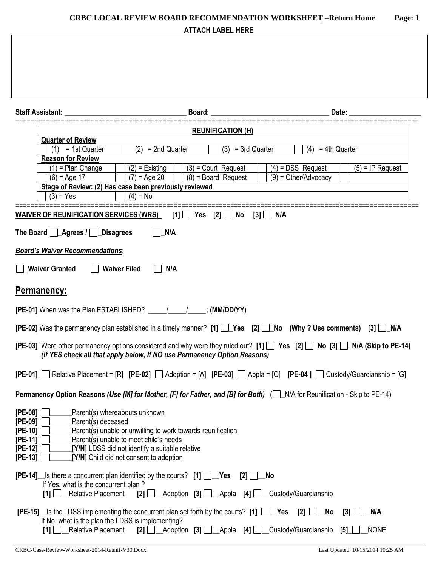# **CRBC LOCAL REVIEW BOARD RECOMMENDATION WORKSHEET –Return Home Page:** 1 **ATTACH LABEL HERE Staff Assistant: \_\_\_\_\_\_\_\_\_\_\_\_\_\_\_\_\_\_\_\_\_\_\_\_\_\_\_\_\_\_\_\_\_\_ Board: \_\_\_\_\_\_\_\_\_\_\_\_\_\_\_\_\_\_\_\_\_\_\_\_\_\_\_\_\_\_\_\_\_ Date: \_\_\_\_\_\_\_\_\_\_\_\_\_\_\_\_\_\_\_\_** =========================================================================================================== **REUNIFICATION (H) Quarter of Review** (1) = 1st Quarter  $\begin{vmatrix} (2) & = 2 \text{nd } \text{Quarter} \\ (3) & = 3 \text{rd } \text{Quarter} \end{vmatrix}$  (4) = 4th Quarter **Reason for Review** (1) = Plan Change  $(2)$  = Existing  $(3)$  = Court Request  $(4)$  = DSS Request  $(5)$  = IP Request  $(6) = Age 17$  (7) = Age 20 (8) = Board Request (9) = Other/Advocacy **Stage of Review: (2) Has case been previously reviewed**   $(3) = Yes$  (4) = No =========================================================================================================== **WAIVER OF REUNIFICATION SERVICES (WRS)** [1] | Yes [2] | No [3] | N/A The Board  $\Box$  Agrees /  $\Box$  Disagrees  $\Box$  N/A *Board's Waiver Recommendations***: \_Waiver Granted \_Waiver Filed \_N/A Permanency: [PE-01]** When was the Plan ESTABLISHED? \_\_\_\_\_/\_\_\_\_\_/\_\_\_\_\_**; (MM/DD/YY) [PE-02]** Was the permanency plan established in a timely manner? **[1]** Yes **[2]** No (Why ? Use comments) [3] N/A **[PE-03]** Were other permanency options considered and why were they ruled out?  $[1]$  Yes  $[2]$  No  $[3]$  N/A (Skip to PE-14) *(if YES check all that apply below, If NO use Permanency Option Reasons)*  $[PE-01]$   $\Box$  Relative Placement =  $[R]$   $[PE-02]$   $\Box$  Adoption =  $[A]$   $[PE-03]$   $\Box$  Appla =  $[O]$   $[PE-04]$   $\Box$  Custody/Guardianship =  $[G]$ **Permanency Option Reasons** *(Use [M] for Mother, [F] for Father, and [B] for Both)* $(|\cdot|)$  **N/A for Reunification - Skip to PE-14) [PE-08] \_\_\_\_\_\_**Parent(s) whereabouts unknown **[PE-09] \_\_\_\_\_\_**Parent(s) deceased **[PE-10]** Parent(s) unable or unwilling to work towards reunification **[PE-11] D** Parent(s) unable to meet child's needs

| $[PE-13]$<br>[Y/N] Child did not consent to adoption                                                                                                                                                     |                                                             |
|----------------------------------------------------------------------------------------------------------------------------------------------------------------------------------------------------------|-------------------------------------------------------------|
| $[PE-14]$ Is there a concurrent plan identified by the courts? $[1]$ $[2]$ $[2]$ $[3]$<br>If Yes, what is the concurrent plan?<br>[1] Relative Placement [2] Adoption [3] Appla [4] Custody/Guardianship |                                                             |
| <b>[PE-15]</b> Is the LDSS implementing the concurrent plan set forth by the courts? $[1]$ <b>Yes</b> [2] No<br>If No, what is the plan the LDSS is implementing?                                        | N/A<br>$\begin{array}{c} \textbf{3} \textbf{1} \end{array}$ |
| [1] Relative Placement [2] Adoption [3] Appla [4] Custody/Guardianship [5]                                                                                                                               | <b>NONE</b>                                                 |

 $[PE-12]$   $\Box$   $[Y/N]$  LDSS did not identify a suitable relative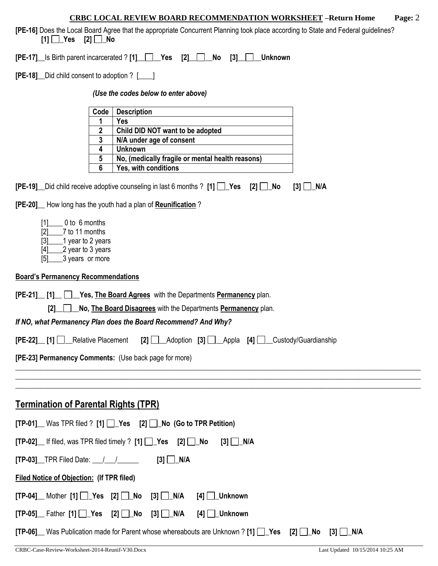**[PE-16]** Does the Local Board Agree that the appropriate Concurrent Planning took place according to State and Federal guidelines? **[1] \_Yes [2] \_No** 

**[PE-17]\_\_**Is Birth parent incarcerated ? **[1]\_\_ \_\_Yes [2]\_\_ \_\_No [3]\_\_ \_\_Unknown**

**[PE-18]\_\_**Did child consent to adoption ? [\_\_\_\_]

#### *(Use the codes below to enter above)*

| Code | <b>Description</b>                               |
|------|--------------------------------------------------|
|      | Yes                                              |
| 2    | Child DID NOT want to be adopted                 |
| 3    | N/A under age of consent                         |
|      | <b>Unknown</b>                                   |
| 5    | No, (medically fragile or mental health reasons) |
| ჩ    | Yes, with conditions                             |

|  | [PE-19] Did child receive adoptive counseling in last 6 months ? [1] Tes [2] No [3] TNA |  |
|--|-----------------------------------------------------------------------------------------|--|
|--|-----------------------------------------------------------------------------------------|--|

**[PE-20]\_\_** How long has the youth had a plan of **Reunification** ?

| [1] | 0 to 6 months     |
|-----|-------------------|
| [2] | 7 to 11 months    |
| [3] | 1 year to 2 years |
| [4] | 2 year to 3 years |
| [5] | 3 years or more   |

#### **Board's Permanency Recommendations**

| <b>[PE-21]</b> [1] Yes, The Board Agrees with the Departments Permanency plan.                                                            |  |  |  |  |
|-------------------------------------------------------------------------------------------------------------------------------------------|--|--|--|--|
| No, The Board Disagrees with the Departments Permanency plan.                                                                             |  |  |  |  |
| If NO, what Permanency Plan does the Board Recommend? And Why?                                                                            |  |  |  |  |
| <b>[PE-22] [1]</b> Relative Placement <b>[2]</b> Adoption [3] Appla [4] Custody/Guardianship                                              |  |  |  |  |
| [PE-23] Permanency Comments: (Use back page for more)                                                                                     |  |  |  |  |
|                                                                                                                                           |  |  |  |  |
|                                                                                                                                           |  |  |  |  |
| <b>Termination of Parental Rights (TPR)</b>                                                                                               |  |  |  |  |
| $[TP-01]$ Was TPR filed ? $[1]$ $[2]$ Yes $[2]$ $[2]$ No (Go to TPR Petition)                                                             |  |  |  |  |
| $[TP-02]$ If filed, was TPR filed timely ? $[1]$ $\Box$ Yes $[2]$ $\Box$ No<br>$[3]$ $\Box$ N/A                                           |  |  |  |  |
| $[3]$ $\Box$ N/A                                                                                                                          |  |  |  |  |
| <b>Filed Notice of Objection: (If TPR filed)</b>                                                                                          |  |  |  |  |
| $[TP-04]$ Mother $[1]$ $\Box$ Yes $[2]$ $\Box$ No $[3]$ $\Box$ N/A<br>[4] ∐_Unknown                                                       |  |  |  |  |
| $[TP-05]$ Father $[1]$ $\rightarrow$ Yes $[2]$ $\rightarrow$ No $[3]$ $\rightarrow$ N/A<br>$[4]$ $\Box$ Unknown                           |  |  |  |  |
| <b>[TP-06]</b> Was Publication made for Parent whose whereabouts are Unknown ? [1] $\sqrt{1}$ Yes [2]<br>No<br>$\lceil 3 \rceil$<br>  N/A |  |  |  |  |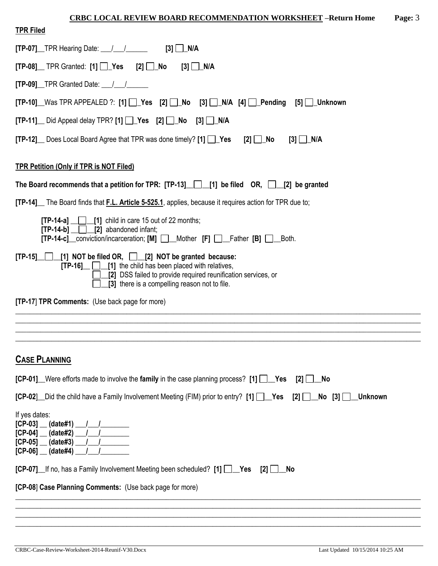| <b>TPR Filed</b>                                                                                                                                                                                                                               |
|------------------------------------------------------------------------------------------------------------------------------------------------------------------------------------------------------------------------------------------------|
| $[TP-07]$ TPR Hearing Date: $\angle$ / $\angle$ [3] $\Box$ N/A                                                                                                                                                                                 |
| $[TP-08]$ TPR Granted: $[1]$ $\bullet$ Yes $[2]$ No                                                                                                                                                                                            |
| $[TP-09]$ TPR Granted Date: $\frac{1}{\sqrt{2}}$                                                                                                                                                                                               |
| $[TP-10]$ Was TPR APPEALED ?: [1] $\Box$ Yes [2] $\Box$ No [3] $\Box$ N/A [4] $\Box$ Pending [5] $\Box$ Unknown                                                                                                                                |
| $[TP-11]$ Did Appeal delay TPR? $[1]$ Yes $[2]$ No $[3]$ N/A                                                                                                                                                                                   |
| [TP-12] Does Local Board Agree that TPR was done timely? [1] 1 Yes [2] 1 No                                                                                                                                                                    |
| <b>TPR Petition (Only if TPR is NOT Filed)</b>                                                                                                                                                                                                 |
| The Board recommends that a petition for TPR: $[TP-13]$ [1] be filed OR, [2] be granted                                                                                                                                                        |
| [TP-14] The Board finds that F.L. Article 5-525.1, applies, because it requires action for TPR due to;                                                                                                                                         |
| $[TP-14-a]$ [1] child in care 15 out of 22 months;<br>$[TP-14-b]$ $[2]$ abandoned infant;<br>[TP-14-c]_conviction/incarceration; [M] □_Mother [F] □_Father [B] □_Both.                                                                         |
| [TP-15] [1] NOT be filed OR, [2] NOT be granted because:<br>$[TP-16]$ $\Box$ $[1]$ the child has been placed with relatives,<br>[2] DSS failed to provide required reunification services, or<br>[3] there is a compelling reason not to file. |
| [TP-17] TPR Comments: (Use back page for more)                                                                                                                                                                                                 |
|                                                                                                                                                                                                                                                |
|                                                                                                                                                                                                                                                |
| <b>CASE PLANNING</b>                                                                                                                                                                                                                           |
| $[CP-01]$ Were efforts made to involve the family in the case planning process? [1] $\Box$ Yes<br>[2]<br><b>No</b>                                                                                                                             |
| <b>[CP-02]</b> Did the child have a Family Involvement Meeting (FIM) prior to entry? [1] $\Box$ Yes<br>[2]<br><b>Unknown</b>                                                                                                                   |
| If yes dates:<br>$[CP-03]$ (date#1)<br>$[CP-04]$ $(date#2)$<br>(data#3)<br>[CP-05]<br>$[CP-06]$ (date#4)                                                                                                                                       |
| <b>[CP-07]</b> If no, has a Family Involvement Meeting been scheduled? [1] <b>Pes</b><br>$\lbrack 2 \rbrack$<br><b>No</b>                                                                                                                      |
| [CP-08] Case Planning Comments: (Use back page for more)                                                                                                                                                                                       |
|                                                                                                                                                                                                                                                |

\_\_\_\_\_\_\_\_\_\_\_\_\_\_\_\_\_\_\_\_\_\_\_\_\_\_\_\_\_\_\_\_\_\_\_\_\_\_\_\_\_\_\_\_\_\_\_\_\_\_\_\_\_\_\_\_\_\_\_\_\_\_\_\_\_\_\_\_\_\_\_\_\_\_\_\_\_\_\_\_\_\_\_\_\_\_\_\_\_\_\_\_\_\_\_\_\_\_\_\_\_\_\_\_\_\_\_\_\_\_\_\_\_ \_\_\_\_\_\_\_\_\_\_\_\_\_\_\_\_\_\_\_\_\_\_\_\_\_\_\_\_\_\_\_\_\_\_\_\_\_\_\_\_\_\_\_\_\_\_\_\_\_\_\_\_\_\_\_\_\_\_\_\_\_\_\_\_\_\_\_\_\_\_\_\_\_\_\_\_\_\_\_\_\_\_\_\_\_\_\_\_\_\_\_\_\_\_\_\_\_\_\_\_\_\_\_\_\_\_\_\_\_\_\_\_\_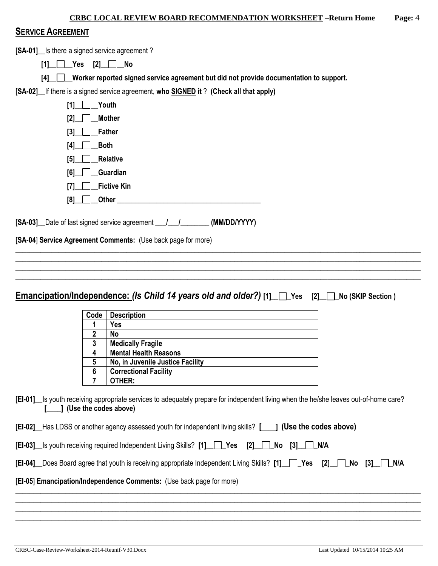| <b>CRBC LOCAL REVIEW BOARD RECOMMENDATION WORKSHEET -Return Home</b> | Page: 4 |
|----------------------------------------------------------------------|---------|
|                                                                      |         |

### **SERVICE AGREEMENT**

**[SA-01]\_\_**Is there a signed service agreement ?

 $\begin{bmatrix} 11 \end{bmatrix}$   $\begin{bmatrix} \begin{bmatrix} \end{bmatrix}$  Yes  $\begin{bmatrix} 2 \end{bmatrix}$   $\begin{bmatrix} \end{bmatrix}$  No

**[4]\_\_ \_\_Worker reported signed service agreement but did not provide documentation to support.** 

**[SA-02]\_\_**If there is a signed service agreement, **who SIGNED it** ? **(Check all that apply)**

| Youth<br>[1]              |  |
|---------------------------|--|
| <b>Mother</b><br>[2]      |  |
| <b>Father</b><br>[3]      |  |
| <b>Both</b><br>$[4]$      |  |
| <b>Relative</b><br>$[5]$  |  |
| Guardian<br>[6]           |  |
| <b>Fictive Kin</b><br>[7] |  |
| <b>Other</b><br>[8]       |  |

**[SA-03]\_\_**Date of last signed service agreement **\_\_\_/\_\_\_/\_\_\_\_\_\_\_\_ (MM/DD/YYYY)**

**[SA-04**] **Service Agreement Comments:** (Use back page for more)

**Emancipation/Independence:** *(Is Child 14 years old and older?)* **[1]\_\_ \_Yes [2]\_\_ \_No (SKIP Section )**

\_\_\_\_\_\_\_\_\_\_\_\_\_\_\_\_\_\_\_\_\_\_\_\_\_\_\_\_\_\_\_\_\_\_\_\_\_\_\_\_\_\_\_\_\_\_\_\_\_\_\_\_\_\_\_\_\_\_\_\_\_\_\_\_\_\_\_\_\_\_\_\_\_\_\_\_\_\_\_\_\_\_\_\_\_\_\_\_\_\_\_\_\_\_\_\_\_\_\_\_\_\_\_\_\_\_\_\_\_\_\_\_\_ \_\_\_\_\_\_\_\_\_\_\_\_\_\_\_\_\_\_\_\_\_\_\_\_\_\_\_\_\_\_\_\_\_\_\_\_\_\_\_\_\_\_\_\_\_\_\_\_\_\_\_\_\_\_\_\_\_\_\_\_\_\_\_\_\_\_\_\_\_\_\_\_\_\_\_\_\_\_\_\_\_\_\_\_\_\_\_\_\_\_\_\_\_\_\_\_\_\_\_\_\_\_\_\_\_\_\_\_\_\_\_\_\_ \_\_\_\_\_\_\_\_\_\_\_\_\_\_\_\_\_\_\_\_\_\_\_\_\_\_\_\_\_\_\_\_\_\_\_\_\_\_\_\_\_\_\_\_\_\_\_\_\_\_\_\_\_\_\_\_\_\_\_\_\_\_\_\_\_\_\_\_\_\_\_\_\_\_\_\_\_\_\_\_\_\_\_\_\_\_\_\_\_\_\_\_\_\_\_\_\_\_\_\_\_\_\_\_\_\_\_\_\_\_\_\_\_ \_\_\_\_\_\_\_\_\_\_\_\_\_\_\_\_\_\_\_\_\_\_\_\_\_\_\_\_\_\_\_\_\_\_\_\_\_\_\_\_\_\_\_\_\_\_\_\_\_\_\_\_\_\_\_\_\_\_\_\_\_\_\_\_\_\_\_\_\_\_\_\_\_\_\_\_\_\_\_\_\_\_\_\_\_\_\_\_\_\_\_\_\_\_\_\_\_\_\_\_\_\_\_\_\_\_\_\_\_\_\_\_\_

| Code | <b>Description</b>               |
|------|----------------------------------|
|      | Yes                              |
| 2    | No                               |
| 3    | <b>Medically Fragile</b>         |
| 4    | <b>Mental Health Reasons</b>     |
| 5    | No, in Juvenile Justice Facility |
| 6    | <b>Correctional Facility</b>     |
|      | OTHER:                           |

**[EI-01]\_\_**Is youth receiving appropriate services to adequately prepare for independent living when the he/she leaves out-of-home care? **[\_\_\_\_] (Use the codes above)**

| [EI-02] Has LDSS or another agency assessed youth for independent living skills? [1631 (Use the codes above) |  |  |
|--------------------------------------------------------------------------------------------------------------|--|--|
| [EI-03] Is youth receiving required Independent Living Skills? [1] Tes [2] No [3] NA                         |  |  |

**[EI-04]\_\_**Does Board agree that youth is receiving appropriate Independent Living Skills? **[1]\_\_ \_Yes [2]\_\_ \_No [3]\_\_ \_N/A**

\_\_\_\_\_\_\_\_\_\_\_\_\_\_\_\_\_\_\_\_\_\_\_\_\_\_\_\_\_\_\_\_\_\_\_\_\_\_\_\_\_\_\_\_\_\_\_\_\_\_\_\_\_\_\_\_\_\_\_\_\_\_\_\_\_\_\_\_\_\_\_\_\_\_\_\_\_\_\_\_\_\_\_\_\_\_\_\_\_\_\_\_\_\_\_\_\_\_\_\_\_\_\_\_\_\_\_\_\_\_\_\_\_ \_\_\_\_\_\_\_\_\_\_\_\_\_\_\_\_\_\_\_\_\_\_\_\_\_\_\_\_\_\_\_\_\_\_\_\_\_\_\_\_\_\_\_\_\_\_\_\_\_\_\_\_\_\_\_\_\_\_\_\_\_\_\_\_\_\_\_\_\_\_\_\_\_\_\_\_\_\_\_\_\_\_\_\_\_\_\_\_\_\_\_\_\_\_\_\_\_\_\_\_\_\_\_\_\_\_\_\_\_\_\_\_\_

\_\_\_\_\_\_\_\_\_\_\_\_\_\_\_\_\_\_\_\_\_\_\_\_\_\_\_\_\_\_\_\_\_\_\_\_\_\_\_\_\_\_\_\_\_\_\_\_\_\_\_\_\_\_\_\_\_\_\_\_\_\_\_\_\_\_\_\_\_\_\_\_\_\_\_\_\_\_\_\_\_\_\_\_\_\_\_\_\_\_\_\_\_\_\_\_\_\_\_\_\_\_\_\_\_\_\_\_\_\_\_\_\_

# **[EI-05**] **Emancipation/Independence Comments:** (Use back page for more)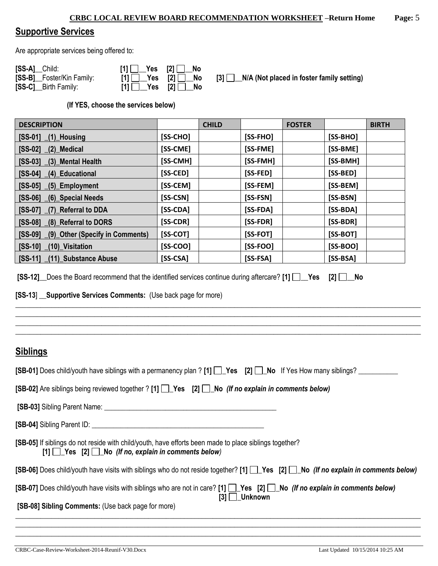# **Supportive Services**

Are appropriate services being offered to:

| [SS-A] Child:             | $[1]$ $\Box$ Yes $[2]$ $\Box$ No                                                                                   |  |
|---------------------------|--------------------------------------------------------------------------------------------------------------------|--|
| [SS-B]_Foster/Kin Family: | $[1]$ $\Box$ Yes $[2]$ $\Box$ No                                                                                   |  |
| [SS-C]__Birth Family:     | $[1]$ $\begin{array}{ c c c c c } \hline \end{array}$ Yes $[2]$ $\begin{array}{ c c c c c } \hline \end{array}$ No |  |

**[3]**  $\Box$ **N/A (Not placed in foster family setting)** 

**(If YES, choose the services below)** 

| <b>DESCRIPTION</b>                      |            | <b>CHILD</b> |            | <b>FOSTER</b> |            | <b>BIRTH</b> |
|-----------------------------------------|------------|--------------|------------|---------------|------------|--------------|
| $[SS-01]$ $(1)$ Housing                 | [SS-CHO]   |              | $[SS-FHO]$ |               | $[SS-BHO]$ |              |
| $[SS-02]$ $(2)$ Medical                 | [SS-CME]   |              | [SS-FME]   |               | [SS-BME]   |              |
| $[SS-03]$ $(3)$ Mental Health           | [SS-CMH]   |              | [SS-FMH]   |               | [SS-BMH]   |              |
| [SS-04] (4) Educational                 | [SS-CED]   |              | [SS-FED]   |               | [SS-BED]   |              |
| $[SS-05]$ $(5)$ Employment              | [SS-CEM]   |              | [SS-FEM]   |               | [SS-BEM]   |              |
| $[SS-06]$<br>$(6)$ Special Needs        | [SS-CSN]   |              | [SS-FSN]   |               | [SS-BSN]   |              |
| [SS-07] (7) Referral to DDA             | [SS-CDA]   |              | $[SS-FDA]$ |               | [SS-BDA]   |              |
| [SS-08] (8) Referral to DORS            | [SS-CDR]   |              | [SS-FDR]   |               | [SS-BDR]   |              |
| [SS-09] (9) Other (Specify in Comments) | $[SS-COT]$ |              | $[SS-FOT]$ |               | $[SS-BOT]$ |              |
| [SS-10] (10) Visitation                 | $[SS-COO]$ |              | $[SS-FOO]$ |               | $[SS-BOO]$ |              |
| [SS-11] (11) Substance Abuse            | $[SS-CSA]$ |              | $[SS-FSA]$ |               | $[SS-BSA]$ |              |

| [SS-12] _Does the Board recommend that the identified services continue during aftercare? [1] [ _ _ Yes [2] [ _ _ No |  |  |
|----------------------------------------------------------------------------------------------------------------------|--|--|
|----------------------------------------------------------------------------------------------------------------------|--|--|

### **[SS-13**] \_\_**Supportive Services Comments:** (Use back page for more)

| Siblings |  |
|----------|--|
|          |  |

| [SB-01] Does child/youth have siblings with a permanency plan ? [1] [[Nestlow State 1] No If Yes How many siblings?                                                                                                         |
|-----------------------------------------------------------------------------------------------------------------------------------------------------------------------------------------------------------------------------|
| <b>[SB-02]</b> Are siblings being reviewed together ? [1] $\Box$ Yes [2] $\Box$ No (If no explain in comments below)                                                                                                        |
|                                                                                                                                                                                                                             |
|                                                                                                                                                                                                                             |
| [SB-05] If siblings do not reside with child/youth, have efforts been made to place siblings together?<br>$[1]$ Yes $[2]$ No (If no, explain in comments below)                                                             |
| [SB-06] Does child/youth have visits with siblings who do not reside together? [1] [SB-06] Does child/youth have visits with siblings who do not reside together? [1] [Ses [2] [SB-06] No (If no explain in comments below) |
| [SB-07] Does child/youth have visits with siblings who are not in care? [1] Yes [2] No (If no explain in comments below)<br>$[3]$ Unknown                                                                                   |
| [SB-08] Sibling Comments: (Use back page for more)                                                                                                                                                                          |
|                                                                                                                                                                                                                             |

\_\_\_\_\_\_\_\_\_\_\_\_\_\_\_\_\_\_\_\_\_\_\_\_\_\_\_\_\_\_\_\_\_\_\_\_\_\_\_\_\_\_\_\_\_\_\_\_\_\_\_\_\_\_\_\_\_\_\_\_\_\_\_\_\_\_\_\_\_\_\_\_\_\_\_\_\_\_\_\_\_\_\_\_\_\_\_\_\_\_\_\_\_\_\_\_\_\_\_\_\_\_\_\_\_\_\_\_\_\_\_\_\_

\_\_\_\_\_\_\_\_\_\_\_\_\_\_\_\_\_\_\_\_\_\_\_\_\_\_\_\_\_\_\_\_\_\_\_\_\_\_\_\_\_\_\_\_\_\_\_\_\_\_\_\_\_\_\_\_\_\_\_\_\_\_\_\_\_\_\_\_\_\_\_\_\_\_\_\_\_\_\_\_\_\_\_\_\_\_\_\_\_\_\_\_\_\_\_\_\_\_\_\_\_\_\_\_\_\_\_\_\_\_\_\_\_ \_\_\_\_\_\_\_\_\_\_\_\_\_\_\_\_\_\_\_\_\_\_\_\_\_\_\_\_\_\_\_\_\_\_\_\_\_\_\_\_\_\_\_\_\_\_\_\_\_\_\_\_\_\_\_\_\_\_\_\_\_\_\_\_\_\_\_\_\_\_\_\_\_\_\_\_\_\_\_\_\_\_\_\_\_\_\_\_\_\_\_\_\_\_\_\_\_\_\_\_\_\_\_\_\_\_\_\_\_\_\_\_\_ \_\_\_\_\_\_\_\_\_\_\_\_\_\_\_\_\_\_\_\_\_\_\_\_\_\_\_\_\_\_\_\_\_\_\_\_\_\_\_\_\_\_\_\_\_\_\_\_\_\_\_\_\_\_\_\_\_\_\_\_\_\_\_\_\_\_\_\_\_\_\_\_\_\_\_\_\_\_\_\_\_\_\_\_\_\_\_\_\_\_\_\_\_\_\_\_\_\_\_\_\_\_\_\_\_\_\_\_\_\_\_\_\_ \_\_\_\_\_\_\_\_\_\_\_\_\_\_\_\_\_\_\_\_\_\_\_\_\_\_\_\_\_\_\_\_\_\_\_\_\_\_\_\_\_\_\_\_\_\_\_\_\_\_\_\_\_\_\_\_\_\_\_\_\_\_\_\_\_\_\_\_\_\_\_\_\_\_\_\_\_\_\_\_\_\_\_\_\_\_\_\_\_\_\_\_\_\_\_\_\_\_\_\_\_\_\_\_\_\_\_\_\_\_\_\_\_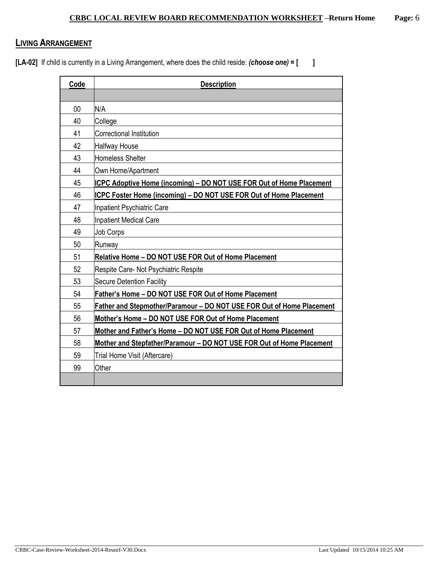# **LIVING ARRANGEMENT**

**[LA-02]** If child is currently in a Living Arrangement, where does the child reside: *(choose one)* **= [ ]**

| Code | <b>Description</b>                                                    |
|------|-----------------------------------------------------------------------|
|      |                                                                       |
| 00   | N/A                                                                   |
| 40   | College                                                               |
| 41   | Correctional Institution                                              |
| 42   | Halfway House                                                         |
| 43   | Homeless Shelter                                                      |
| 44   | Own Home/Apartment                                                    |
| 45   | ICPC Adoptive Home (incoming) - DO NOT USE FOR Out of Home Placement  |
| 46   | ICPC Foster Home (incoming) - DO NOT USE FOR Out of Home Placement    |
| 47   | Inpatient Psychiatric Care                                            |
| 48   | <b>Inpatient Medical Care</b>                                         |
| 49   | <b>Job Corps</b>                                                      |
| 50   | Runway                                                                |
| 51   | Relative Home - DO NOT USE FOR Out of Home Placement                  |
| 52   | Respite Care- Not Psychiatric Respite                                 |
| 53   | <b>Secure Detention Facility</b>                                      |
| 54   | Father's Home - DO NOT USE FOR Out of Home Placement                  |
| 55   | Father and Stepmother/Paramour - DO NOT USE FOR Out of Home Placement |
| 56   | Mother's Home - DO NOT USE FOR Out of Home Placement                  |
| 57   | Mother and Father's Home - DO NOT USE FOR Out of Home Placement       |
| 58   | Mother and Stepfather/Paramour - DO NOT USE FOR Out of Home Placement |
| 59   | Trial Home Visit (Aftercare)                                          |
| 99   | Other                                                                 |
|      |                                                                       |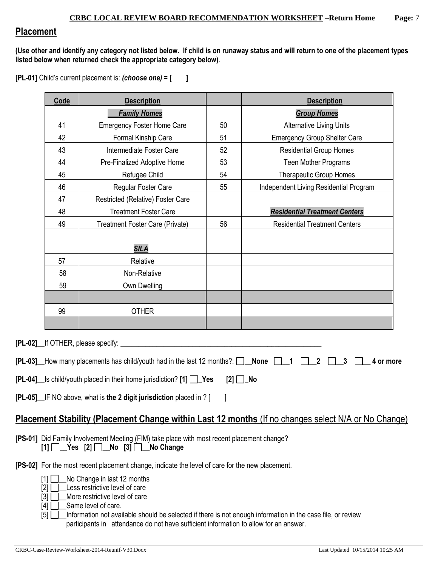# **Placement**

**(Use other and identify any category not listed below. If child is on runaway status and will return to one of the placement types listed below when returned check the appropriate category below)**.

**[PL-01]** Child's current placement is: *(choose one)* **= [ ]**

|                                                                                     | Code         | <b>Description</b>                                                                                                               |          | <b>Description</b>                                                                                         |  |  |  |  |
|-------------------------------------------------------------------------------------|--------------|----------------------------------------------------------------------------------------------------------------------------------|----------|------------------------------------------------------------------------------------------------------------|--|--|--|--|
|                                                                                     |              | <b>Family Homes</b>                                                                                                              |          | <b>Group Homes</b>                                                                                         |  |  |  |  |
|                                                                                     | 41           | <b>Emergency Foster Home Care</b>                                                                                                | 50       | <b>Alternative Living Units</b>                                                                            |  |  |  |  |
|                                                                                     | 42           | Formal Kinship Care                                                                                                              | 51       | <b>Emergency Group Shelter Care</b>                                                                        |  |  |  |  |
|                                                                                     | 43           | Intermediate Foster Care                                                                                                         | 52       | <b>Residential Group Homes</b>                                                                             |  |  |  |  |
|                                                                                     | 44           | Pre-Finalized Adoptive Home                                                                                                      | 53       | <b>Teen Mother Programs</b>                                                                                |  |  |  |  |
|                                                                                     | 45           | Refugee Child                                                                                                                    | 54       | <b>Therapeutic Group Homes</b>                                                                             |  |  |  |  |
|                                                                                     | 46           | Regular Foster Care                                                                                                              | 55       | Independent Living Residential Program                                                                     |  |  |  |  |
| 47<br>Restricted (Relative) Foster Care                                             |              |                                                                                                                                  |          |                                                                                                            |  |  |  |  |
| 48<br><b>Residential Treatment Centers</b><br><b>Treatment Foster Care</b>          |              |                                                                                                                                  |          |                                                                                                            |  |  |  |  |
| 49<br>Treatment Foster Care (Private)<br>56<br><b>Residential Treatment Centers</b> |              |                                                                                                                                  |          |                                                                                                            |  |  |  |  |
|                                                                                     |              |                                                                                                                                  |          |                                                                                                            |  |  |  |  |
| <b>SILA</b>                                                                         |              |                                                                                                                                  |          |                                                                                                            |  |  |  |  |
|                                                                                     | 57           | Relative                                                                                                                         |          |                                                                                                            |  |  |  |  |
| 58<br>Non-Relative                                                                  |              |                                                                                                                                  |          |                                                                                                            |  |  |  |  |
| 59<br>Own Dwelling                                                                  |              |                                                                                                                                  |          |                                                                                                            |  |  |  |  |
|                                                                                     |              |                                                                                                                                  |          |                                                                                                            |  |  |  |  |
| 99<br><b>OTHER</b>                                                                  |              |                                                                                                                                  |          |                                                                                                            |  |  |  |  |
|                                                                                     |              |                                                                                                                                  |          |                                                                                                            |  |  |  |  |
|                                                                                     |              | [PL-02] lf OTHER, please specify:                                                                                                |          |                                                                                                            |  |  |  |  |
|                                                                                     |              | $[PL-03]$ How many placements has child/youth had in the last 12 months?: $\Box$ None                                            |          | 2<br>3<br>4 or more                                                                                        |  |  |  |  |
|                                                                                     |              | [PL-04]_ls child/youth placed in their home jurisdiction? [1] □_Yes                                                              | $[2]$ No |                                                                                                            |  |  |  |  |
|                                                                                     |              | [PL-05] IF NO above, what is the 2 digit jurisdiction placed in ? [                                                              |          |                                                                                                            |  |  |  |  |
|                                                                                     |              |                                                                                                                                  |          |                                                                                                            |  |  |  |  |
|                                                                                     |              |                                                                                                                                  |          | <b>Placement Stability (Placement Change within Last 12 months (If no changes select N/A or No Change)</b> |  |  |  |  |
|                                                                                     |              | [PS-01] Did Family Involvement Meeting (FIM) take place with most recent placement change?<br>$[1]$ Yes $[2]$ No $[3]$ No Change |          |                                                                                                            |  |  |  |  |
|                                                                                     |              | <b>[PS-02]</b> For the most recent placement change, indicate the level of care for the new placement.                           |          |                                                                                                            |  |  |  |  |
|                                                                                     | $[1]$ $\Box$ | No Change in last 12 months                                                                                                      |          |                                                                                                            |  |  |  |  |
|                                                                                     |              | Loca roctrictive lovel of care                                                                                                   |          |                                                                                                            |  |  |  |  |

 $[2] \sqcup$  Less restrictive level of care [3] **D**\_More restrictive level of care

 $[4]$   $\Box$  Same level of care.

[5]  $\Box$  Information not available should be selected if there is not enough information in the case file, or review participants in attendance do not have sufficient information to allow for an answer.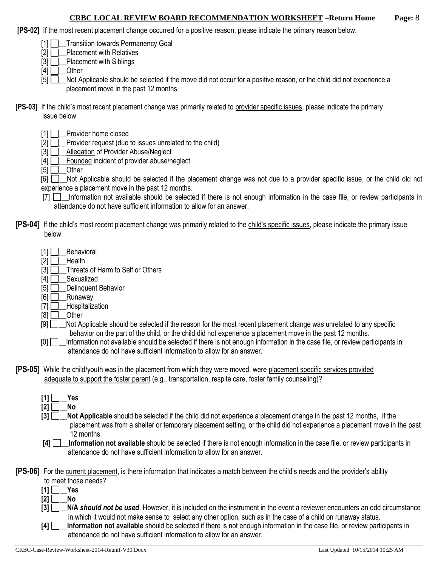**[PS-02]** If the most recent placement change occurred for a positive reason, please indicate the primary reason below.

[1] **Transition towards Permanency Goal** 

 $[2]$   $\Box$  Placement with Relatives

 $[3]$  Placement with Siblings

 $[4]$   $\Box$  Other

[5] Not Applicable should be selected if the move did not occur for a positive reason, or the child did not experience a placement move in the past 12 months

- **[PS-03]** If the child's most recent placement change was primarily related to provider specific issues, please indicate the primary issue below.
	- [1] Provider home closed
	- [2] **D** Provider request (due to issues unrelated to the child)
	- [3] **Allegation of Provider Abuse/Neglect**
	- $[4]$   $\Box$  Founded incident of provider abuse/neglect

 $[5]$  Other

[6]  $\Box$  Not Applicable should be selected if the placement change was not due to a provider specific issue, or the child did not experience a placement move in the past 12 months.

- [7]  $\Box$  Information not available should be selected if there is not enough information in the case file, or review participants in attendance do not have sufficient information to allow for an answer.
- **[PS-04]** If the child's most recent placement change was primarily related to the child's specific issues, please indicate the primary issue below.
	- $[1]$  Behavioral
	- $[2]$  Health
	- [3] **Threats of Harm to Self or Others**
	- [4] **D**\_Sexualized
	- $[5]$  Delinquent Behavior
	- $[6]$  Runaway
	- [7] **\_\_\_Hospitalization**
	- $[8]$  Other
	- [9]  $\Box$  Not Applicable should be selected if the reason for the most recent placement change was unrelated to any specific behavior on the part of the child, or the child did not experience a placement move in the past 12 months.
	- [0]  $\Box$  Information not available should be selected if there is not enough information in the case file, or review participants in attendance do not have sufficient information to allow for an answer.
- **[PS-05]** While the child/youth was in the placement from which they were moved, were placement specific services provided adequate to support the foster parent (e.g., transportation, respite care, foster family counseling)?
	- $[1] \Box$  Yes  $[2]$  No
	- **[3]**  $\Box$  **Not Applicable** should be selected if the child did not experience a placement change in the past 12 months, if the placement was from a shelter or temporary placement setting, or the child did not experience a placement move in the past 12 months.
	- **[4] \_\_Information not available** should be selected if there is not enough information in the case file, or review participants in attendance do not have sufficient information to allow for an answer.

**[PS-06]** For the current placement, is there information that indicates a match between the child's needs and the provider's ability

- to meet those needs?
- $[1]$   $\Box$  Yes
- **[2] \_\_No**
- **[3] \_\_N/A** *should not be used*. However, it is included on the instrument in the event a reviewer encounters an odd circumstance in which it would not make sense to select any other option, such as in the case of a child on runaway status.
- **[4] \_\_Information not available** should be selected if there is not enough information in the case file, or review participants in attendance do not have sufficient information to allow for an answer.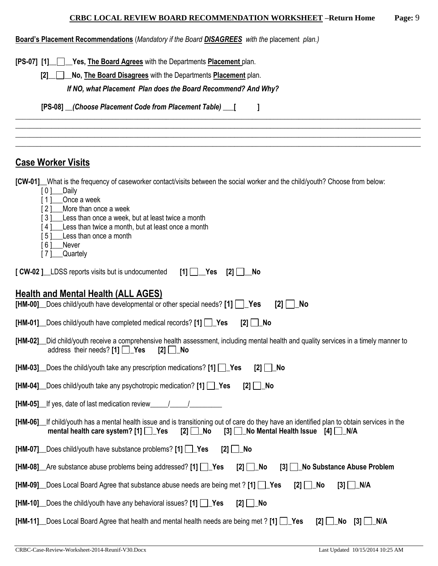| Board's Placement Recommendations (Mandatory if the Board <b>DISAGREES</b> with the placement plan.) |
|------------------------------------------------------------------------------------------------------|
|------------------------------------------------------------------------------------------------------|

**[PS-07] [1]\_\_ \_\_Yes, The Board Agrees** with the Departments **Placement** plan.

**[2]\_\_ \_\_No, The Board Disagrees** with the Departments **Placement** plan.

*If NO, what Placement Plan does the Board Recommend? And Why?*

**[PS-08] \_\_***(Choose Placement Code from Placement Table)* **\_\_\_[ ]**

# **Case Worker Visits**

**[CW-01]\_\_**What is the frequency of caseworker contact/visits between the social worker and the child/youth? Choose from below:

\_\_\_\_\_\_\_\_\_\_\_\_\_\_\_\_\_\_\_\_\_\_\_\_\_\_\_\_\_\_\_\_\_\_\_\_\_\_\_\_\_\_\_\_\_\_\_\_\_\_\_\_\_\_\_\_\_\_\_\_\_\_\_\_\_\_\_\_\_\_\_\_\_\_\_\_\_\_\_\_\_\_\_\_\_\_\_\_\_\_\_\_\_\_\_\_\_\_\_\_\_\_\_\_\_\_\_\_\_\_\_\_\_ \_\_\_\_\_\_\_\_\_\_\_\_\_\_\_\_\_\_\_\_\_\_\_\_\_\_\_\_\_\_\_\_\_\_\_\_\_\_\_\_\_\_\_\_\_\_\_\_\_\_\_\_\_\_\_\_\_\_\_\_\_\_\_\_\_\_\_\_\_\_\_\_\_\_\_\_\_\_\_\_\_\_\_\_\_\_\_\_\_\_\_\_\_\_\_\_\_\_\_\_\_\_\_\_\_\_\_\_\_\_\_\_\_ \_\_\_\_\_\_\_\_\_\_\_\_\_\_\_\_\_\_\_\_\_\_\_\_\_\_\_\_\_\_\_\_\_\_\_\_\_\_\_\_\_\_\_\_\_\_\_\_\_\_\_\_\_\_\_\_\_\_\_\_\_\_\_\_\_\_\_\_\_\_\_\_\_\_\_\_\_\_\_\_\_\_\_\_\_\_\_\_\_\_\_\_\_\_\_\_\_\_\_\_\_\_\_\_\_\_\_\_\_\_\_\_\_ \_\_\_\_\_\_\_\_\_\_\_\_\_\_\_\_\_\_\_\_\_\_\_\_\_\_\_\_\_\_\_\_\_\_\_\_\_\_\_\_\_\_\_\_\_\_\_\_\_\_\_\_\_\_\_\_\_\_\_\_\_\_\_\_\_\_\_\_\_\_\_\_\_\_\_\_\_\_\_\_\_\_\_\_\_\_\_\_\_\_\_\_\_\_\_\_\_\_\_\_\_\_\_\_\_\_\_\_\_\_\_\_\_

- [ 0 ]\_\_\_Daily
- [1] Once a week
- [ 2 ] More than once a week
- [3] Less than once a week, but at least twice a month
- [4] Less than twice a month, but at least once a month
- [5] Less than once a month
- [6] Never
- [ 7 ]\_\_\_\_ Quartely

| $[CW-02]$ LDSS reports visits but is undocumented $[1]$ $[2]$ $[2]$ $[3]$ |  |  |
|---------------------------------------------------------------------------|--|--|

# **Health and Mental Health (ALL AGES)**

|  | [HM-00] _ Does child/youth have developmental or other special needs? [1] $\Box$ Yes [2] $\Box$ No |  |  |
|--|----------------------------------------------------------------------------------------------------|--|--|
|  |                                                                                                    |  |  |

|  |  | [HM-01] _ Does child/youth have completed medical records? [1] □ Yes [2] □ No |  |  |  |
|--|--|-------------------------------------------------------------------------------|--|--|--|
|--|--|-------------------------------------------------------------------------------|--|--|--|

| [HM-02]_Did child/youth receive a comprehensive health assessment, including mental health and quality services in a timely manner to |  |  |
|---------------------------------------------------------------------------------------------------------------------------------------|--|--|
| address their needs? [1] $\Box$ Yes [2] $\Box$ No                                                                                     |  |  |

|  | [HM-03] _Does the child/youth take any prescription medications? [1] [ __ Yes [2] [ __ No |  |  |  |  |  |  |
|--|-------------------------------------------------------------------------------------------|--|--|--|--|--|--|
|--|-------------------------------------------------------------------------------------------|--|--|--|--|--|--|

|  | [HM-04] Does child/youth take any psychotropic medication? [1] Yes [2] 1 No |  |  |  |  |  |
|--|-----------------------------------------------------------------------------|--|--|--|--|--|
|--|-----------------------------------------------------------------------------|--|--|--|--|--|

**[HM-05]\_\_**If yes, date of last medication review\_\_\_\_\_/\_\_\_\_\_/\_\_\_\_\_\_\_\_\_

| [HM-06] If child/youth has a mental health issue and is transitioning out of care do they have an identified plan to obtain services in the |  |  |  |
|---------------------------------------------------------------------------------------------------------------------------------------------|--|--|--|
| mental health care system? [1] $\Box$ Yes [2] $\Box$ No [3] $\Box$ No Mental Health Issue [4] $\Box$ N/A                                    |  |  |  |

**[HM-07]\_\_**Does child/youth have substance problems? **[1] \_Yes [2] \_No** 

|  |  | [HM-08] Are substance abuse problems being addressed? [1] \correspondence [2] \correspondence Abuse Problem |
|--|--|-------------------------------------------------------------------------------------------------------------|
|  |  |                                                                                                             |

|  | [HM-09] _ Does Local Board Agree that substance abuse needs are being met ? [1] $\Box$ Yes [2] $\Box$ No [3] $\Box$ N/A |  |  |
|--|-------------------------------------------------------------------------------------------------------------------------|--|--|
|--|-------------------------------------------------------------------------------------------------------------------------|--|--|

|  |  | [HM-10] _Does the child/youth have any behavioral issues? [1] [J_Yes [2] [J_No |  |  |
|--|--|--------------------------------------------------------------------------------|--|--|
|--|--|--------------------------------------------------------------------------------|--|--|

**[HM-11]** Does Local Board Agree that health and mental health needs are being met ? **[1]** Yes **[2] No [3] N/A**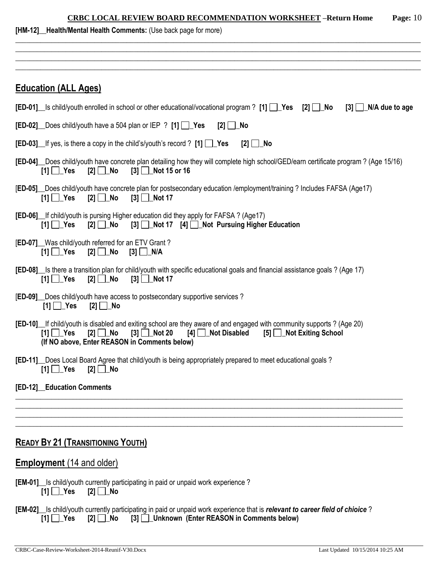| <b>CRBC LOCAL REVIEW BOARD RECOMMENDATION WORKSHEET -Return Home</b> | Page: $10$ |
|----------------------------------------------------------------------|------------|
|                                                                      |            |

| [HM-12]_Health/Mental Health Comments: (Use back page for more) |  |
|-----------------------------------------------------------------|--|
|-----------------------------------------------------------------|--|

| <b>Education (ALL Ages)</b>                                                                                                                                                                                                                                                  |
|------------------------------------------------------------------------------------------------------------------------------------------------------------------------------------------------------------------------------------------------------------------------------|
| <b>[ED-01]</b> Is child/youth enrolled in school or other educational/vocational program ? [1] $\Box$ Yes [2] $\Box$ No<br>$[3]$ $\Box$ N/A due to age                                                                                                                       |
| <b>[ED-02]</b> Does child/youth have a 504 plan or IEP ? [1] $\sqrt{$ Yes<br>$[2]$ No                                                                                                                                                                                        |
| <b>[ED-03]</b> If yes, is there a copy in the child's/youth's record ? $[1]$ $\Box$ Yes<br>$[2]$ No                                                                                                                                                                          |
| [ED-04] _ Does child/youth have concrete plan detailing how they will complete high school/GED/earn certificate program? (Age 15/16)<br>$[2]$ $\Box$ No<br>$[3]$ Mot 15 or 16<br>$[1]$ $\Box$ Yes                                                                            |
| [ED-05] Does child/youth have concrete plan for postsecondary education /employment/training ? Includes FAFSA (Age17)<br>$[3]$ Not 17<br>$[1]$ $\Box$ Yes                                                                                                                    |
| [ED-06] If child/youth is pursing Higher education did they apply for FAFSA ? (Age17)<br>$[1]$ $\Box$ Yes<br>$[2] \Box$ No<br>[3] Not 17 [4] Not Pursuing Higher Education                                                                                                   |
| [ED-07] Was child/youth referred for an ETV Grant?<br>$[1]$ $\Box$ Yes<br>$[2]$ $\Box$ No<br>$[3]$ $\Box$ N/A                                                                                                                                                                |
| [ED-08] s there a transition plan for child/youth with specific educational goals and financial assistance goals? (Age 17)<br>$[2]$ No<br>$[3]$ Not 17<br>$[1]$ $\Box$ Yes                                                                                                   |
| [ED-09] Does child/youth have access to postsecondary supportive services?<br>$[1]$ $\Box$ Yes<br>[2] $□$ No                                                                                                                                                                 |
| [ED-10] If child/youth is disabled and exiting school are they aware of and engaged with community supports? (Age 20)<br>$[3]$ Not 20<br>$[1] \square$ Yes<br>$[2] \Box$ No<br>$[4]$ Not Disabled<br>[5] Not Exiting School<br>(If NO above, Enter REASON in Comments below) |
| [ED-11] Does Local Board Agree that child/youth is being appropriately prepared to meet educational goals?<br>$[1]$ $\Box$ Yes<br>$[2]$ No                                                                                                                                   |
| [ED-12] Education Comments                                                                                                                                                                                                                                                   |
|                                                                                                                                                                                                                                                                              |
|                                                                                                                                                                                                                                                                              |
| <b>READY BY 21 (TRANSITIONING YOUTH)</b>                                                                                                                                                                                                                                     |
| <b>Employment</b> (14 and older)                                                                                                                                                                                                                                             |
| [EM-01] Is child/youth currently participating in paid or unpaid work experience?<br>[1] $\Box$ Yes<br>[2] $□$ No                                                                                                                                                            |
| [EM-02] Is child/youth currently participating in paid or unpaid work experience that is relevant to career field of chioice?<br>[3] Unknown (Enter REASON in Comments below)<br>$[1]$ $\Box$ Yes<br>$[2]$ $\Box$ No                                                         |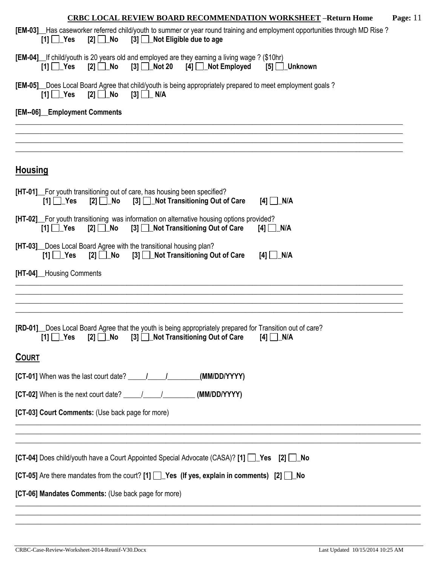| <b>CRBC LOCAL REVIEW BOARD RECOMMENDATION WORKSHEET -Return Home</b><br>Page: $11$                                                                                                                        |
|-----------------------------------------------------------------------------------------------------------------------------------------------------------------------------------------------------------|
| [EM-03] Has caseworker referred child/youth to summer or year round training and employment opportunities through MD Rise?<br>[3] Not Eligible due to age<br>$[2]$ No<br>$[1]$ $\Box$ Yes                 |
| [EM-04] If child/youth is 20 years old and employed are they earning a living wage ? (\$10hr)<br>$[2] \square$ No<br>$[3]$ Not 20 $[4]$ Not Employed<br>$[1]$ $\Box$ Yes<br>$[5]$ Unknown                 |
| [EM-05] Does Local Board Agree that child/youth is being appropriately prepared to meet employment goals?<br>$[1]$ $\Box$ Yes<br>$[2]$ $\Box$ No<br>$[3]$ $\Box$ N/A                                      |
| [EM--06]_Employment Comments                                                                                                                                                                              |
|                                                                                                                                                                                                           |
| <b>Housing</b>                                                                                                                                                                                            |
| [HT-01] For youth transitioning out of care, has housing been specified?<br>$[1]$ $\Box$ Yes<br>$[2] \square$ No<br>[3] Not Transitioning Out of Care<br>$[4]$ $\Box$ N/A                                 |
| [HT-02] For youth transitioning was information on alternative housing options provided?<br>[3] Not Transitioning Out of Care<br>$[2]$ No<br>$[4]$ $\Box$ N/A<br>$[1]$ $\Box$ Yes                         |
| [HT-03] Does Local Board Agree with the transitional housing plan?<br>[2] No [3] Not Transitioning Out of Care<br>$[1]$ $\Box$ Yes<br>$[4]$ $\Box$ N/A                                                    |
| [HT-04]_Housing Comments                                                                                                                                                                                  |
|                                                                                                                                                                                                           |
| [RD-01] Does Local Board Agree that the youth is being appropriately prepared for Transition out of care?<br>$[1]$ $\Box$ Yes<br>[3] <b>Not Transitioning Out of Care</b><br>$[2]$ No<br>$[4]$ $\Box$ N/A |
| <b>COURT</b>                                                                                                                                                                                              |
| (MM/DD/YYYY)                                                                                                                                                                                              |
| [CT-02] When is the next court date? $\frac{1}{\sqrt{1-\frac{1}{2}}}\$ (MM/DD/YYYY)                                                                                                                       |
| [CT-03] Court Comments: (Use back page for more)                                                                                                                                                          |
| [CT-04] Does child/youth have a Court Appointed Special Advocate (CASA)? [1] [ Yes [2] [ No                                                                                                               |
| [CT-05] Are there mandates from the court? [1] $\Box$ Yes (If yes, explain in comments) [2] $\Box$ No                                                                                                     |
| [CT-06] Mandates Comments: (Use back page for more)                                                                                                                                                       |
|                                                                                                                                                                                                           |

CRBC-Case-Review-Worksheet-2014-Reunif-V30.Docx Last Updated 10/15/2014 10:25 AM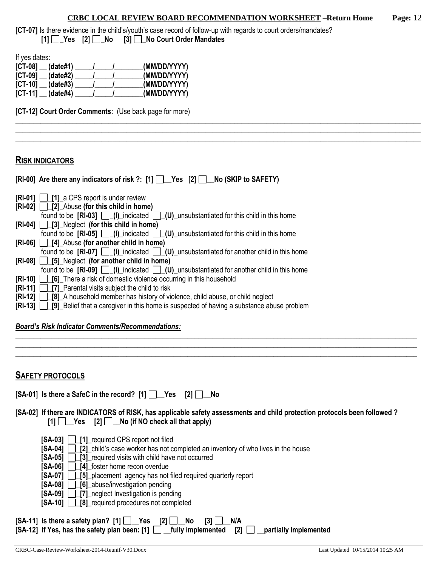\_\_\_\_\_\_\_\_\_\_\_\_\_\_\_\_\_\_\_\_\_\_\_\_\_\_\_\_\_\_\_\_\_\_\_\_\_\_\_\_\_\_\_\_\_\_\_\_\_\_\_\_\_\_\_\_\_\_\_\_\_\_\_\_\_\_\_\_\_\_\_\_\_\_\_\_\_\_\_\_\_\_\_\_\_\_\_\_\_\_\_\_\_\_\_\_\_\_\_\_\_\_\_\_\_\_\_\_\_\_\_\_\_ \_\_\_\_\_\_\_\_\_\_\_\_\_\_\_\_\_\_\_\_\_\_\_\_\_\_\_\_\_\_\_\_\_\_\_\_\_\_\_\_\_\_\_\_\_\_\_\_\_\_\_\_\_\_\_\_\_\_\_\_\_\_\_\_\_\_\_\_\_\_\_\_\_\_\_\_\_\_\_\_\_\_\_\_\_\_\_\_\_\_\_\_\_\_\_\_\_\_\_\_\_\_\_\_\_\_\_\_\_\_\_\_\_ \_\_\_\_\_\_\_\_\_\_\_\_\_\_\_\_\_\_\_\_\_\_\_\_\_\_\_\_\_\_\_\_\_\_\_\_\_\_\_\_\_\_\_\_\_\_\_\_\_\_\_\_\_\_\_\_\_\_\_\_\_\_\_\_\_\_\_\_\_\_\_\_\_\_\_\_\_\_\_\_\_\_\_\_\_\_\_\_\_\_\_\_\_\_\_\_\_\_\_\_\_\_\_\_\_\_\_\_\_\_\_\_\_

**[CT-07]** Is there evidence in the child's/youth's case record of follow-up with regards to court orders/mandates? **[1] \_Yes [2] \_No [3] \_No Court Order Mandates**

If yes dates:

| $[CI-08]$<br>(data#1)         | (MM/DD/YYYY) |
|-------------------------------|--------------|
| $\mathsf{ICT-09}$<br>(data#2) | (MM/DD/YYYY) |
| $[CI-10]$<br>(data#3)         | (MM/DD/YYYY) |
| <b>ICT-111</b><br>(data#4)    | (MM/DD/YYYY) |

**[CT-12] Court Order Comments:** (Use back page for more)

### **RISK INDICATORS**

| [RI-00] Are there any indicators of risk ?: [1] Pes [2] No (SKIP to SAFETY)                                                                                                                                                                                         |
|---------------------------------------------------------------------------------------------------------------------------------------------------------------------------------------------------------------------------------------------------------------------|
| $\begin{bmatrix} RI-01 \end{bmatrix}$ [1] a CPS report is under review                                                                                                                                                                                              |
| $[RI-02]$ [2] Abuse (for this child in home)                                                                                                                                                                                                                        |
| found to be $[RI-03]$ $\Box$ $(I)$ indicated $\Box$ $(U)$ unsubstantiated for this child in this home                                                                                                                                                               |
| $[RI-04]$ [3] Neglect (for this child in home)                                                                                                                                                                                                                      |
| found to be $[\text{RI-05}]$ $\Box$ (I) indicated $\Box$ (U) unsubstantiated for this child in this home                                                                                                                                                            |
| $[RI-06]$   $[4]$ Abuse (for another child in home)                                                                                                                                                                                                                 |
| found to be $[RI-07]$ $[$ $[$ $]$ $[$ $]$ indicated $[$ $]$ $[$ $[$ $]$ $[$ $]$ $[$ $]$ $[$ $]$ $[$ $]$ $[$ $]$ $[$ $]$ $[$ $]$ $[$ $]$ $[$ $]$ $[$ $]$ $[$ $]$ $[$ $]$ $[$ $]$ $[$ $]$ $[$ $]$ $[$ $]$ $[$ $]$ $[$ $]$ $[$ $]$ $[$ $]$ $[$ $]$ $[$ $]$ $[$ $]$ $[$ |
| $[RI-08]$ $[5]$ Neglect (for another child in home)                                                                                                                                                                                                                 |
| found to be $[RI-09]$ $\Box$ $(I)$ indicated $\Box$ $(U)$ unsubstantiated for another child in this home                                                                                                                                                            |
| <b>[RI-10]</b> [6] There a risk of domestic violence occurring in this household                                                                                                                                                                                    |
| <b>[RI-11]</b>   [7] Parental visits subject the child to risk                                                                                                                                                                                                      |
| <b>[RI-12]</b> [8] A household member has history of violence, child abuse, or child neglect                                                                                                                                                                        |
| <b>[RI-13]</b> [9] Belief that a caregiver in this home is suspected of having a substance abuse problem                                                                                                                                                            |

#### *Board's Risk Indicator Comments/Recommendations:*

**SAFETY PROTOCOLS**

| [SA-01] Is there a SafeC in the record? $[1]$ $\Box$ Yes $[2]$ $\Box$ No |  |  |  |  |  |  |  |
|--------------------------------------------------------------------------|--|--|--|--|--|--|--|
|--------------------------------------------------------------------------|--|--|--|--|--|--|--|

**[SA-02] If there are INDICATORS of RISK, has applicable safety assessments and child protection protocols been followed ?**   $[1]$   $[2]$   $[2]$   $[3]$   $[4]$   $[5]$   $[5]$   $[6]$   $[6]$   $[7]$   $[8]$   $[8]$   $[6]$   $[6]$   $[6]$   $[6]$   $[6]$   $[6]$   $[6]$   $[6]$   $[6]$   $[6]$   $[6]$   $[6]$   $[6]$   $[6]$   $[6]$   $[6]$   $[6]$   $[6]$   $[6]$   $[6]$   $[6]$   $[6]$   $[6]$   $[6]$   $[6]$ 

\_\_\_\_\_\_\_\_\_\_\_\_\_\_\_\_\_\_\_\_\_\_\_\_\_\_\_\_\_\_\_\_\_\_\_\_\_\_\_\_\_\_\_\_\_\_\_\_\_\_\_\_\_\_\_\_\_\_\_\_\_\_\_\_\_\_\_\_\_\_\_\_\_\_\_\_\_\_\_\_\_\_\_\_\_\_\_\_\_\_\_\_\_\_\_\_\_\_\_\_\_\_\_\_\_\_\_\_\_\_\_\_ \_\_\_\_\_\_\_\_\_\_\_\_\_\_\_\_\_\_\_\_\_\_\_\_\_\_\_\_\_\_\_\_\_\_\_\_\_\_\_\_\_\_\_\_\_\_\_\_\_\_\_\_\_\_\_\_\_\_\_\_\_\_\_\_\_\_\_\_\_\_\_\_\_\_\_\_\_\_\_\_\_\_\_\_\_\_\_\_\_\_\_\_\_\_\_\_\_\_\_\_\_\_\_\_\_\_\_\_\_\_\_\_ \_\_\_\_\_\_\_\_\_\_\_\_\_\_\_\_\_\_\_\_\_\_\_\_\_\_\_\_\_\_\_\_\_\_\_\_\_\_\_\_\_\_\_\_\_\_\_\_\_\_\_\_\_\_\_\_\_\_\_\_\_\_\_\_\_\_\_\_\_\_\_\_\_\_\_\_\_\_\_\_\_\_\_\_\_\_\_\_\_\_\_\_\_\_\_\_\_\_\_\_\_\_\_\_\_\_\_\_\_\_\_\_

- **[SA-03] \_[1]\_**required CPS report not filed
- **[SA-04]**  $\boxed{\phantom{1}\phantom{1}}$  [2] child's case worker has not completed an inventory of who lives in the house
- **[SA-05]**  $\Box$  **[3]** required visits with child have not occurred
- **[SA-06] \_[4]\_**foster home recon overdue
- **[SA-07]**  $\boxed{)}$  [5] placement agency has not filed required quarterly report
- **[SA-08] [6] abuse/investigation pending**
- **[SA-09] 17]** neglect Investigation is pending
- **[SA-10] \_[8]\_**required procedures not completed

 $[SA-11]$  is there a safety plan?  $[1]$   $\Box$  Yes  $[2]$   $\Box$  No  $[3]$   $\Box$  N/A  $\overline{[S_A-12]}$  If Yes, has the safety plan been:  $\overline{[1]}\ \overline{]}$  fully implemented  $\overline{[2]}\ \overline{]}$  partially implemented